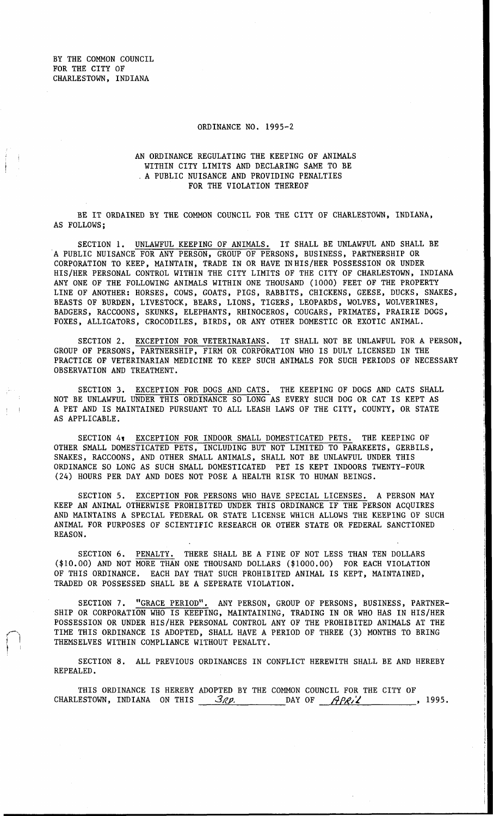BY THE COMMON COUNCIL FOR THE CITY OF CHARLESTOWN, INDIANA

## ORDINANCE NO. 1995-2

## AN ORDINANCE REGULATING THE KEEPING OF ANIMALS WITHIN CITY LIMITS AND DECLARING SAME TO BE A PUBLIC NUISANCE AND PROVIDING PENALTIES FOR THE VIOLATION THEREOF

BE IT ORDAINED BY THE COMMON COUNCIL FOR THE CITY OF CHARLESTOWN, INDIANA, AS FOLLOWS;

SECTION 1. UNLAWFUL KEEPING OF ANIMALS. IT SHALL BE UNLAWFUL AND SHALL BE A PUBLIC NUISANCE FOR ANY PERSON, GROUP OF PERSONS, BUSINESS, PARTNERSHIP OR CORPORATION TO KEEP, MAINTAIN, TRADE IN OR HAVE IN HIS/HER POSSESSION OR UNDER ANY ONE OF THE FOLLOWING ANIMALS WITHIN ONE THOUSAND (1000) FEET OF THE PROPERTY LINE OF ANOTHER: HORSES, COWS, GOATS, PIGS, RABBITS, CHICKENS, GEESE, DUCKS, SNAKES, BEASTS OF BURDEN, LIVESTOCK, BEARS, LIONS, TIGERS, LEOPARDS, WOLVES, WOLVERINES, BADGERS, RACCOONS, SKUNKS, ELEPHANTS, RHINOCEROS, COUGARS, PRIMATES, PRAIRIE DOGS, FOXES, ALLIGATORS, CROCODILES, BIRDS, OR ANY OTHER DOMESTIC OR EXOTIC ANIMAL. HIS/HER PERSONAL CONTROL WITHIN THE CITY LIMITS OF THE CITY OF CHARLESTOWN, INDIANA

SECTION 2. EXCEPTION FOR VETERINARIANS. IT SHALL NOT BE UNLAWFUL FOR A PERSON, GROUP OF PERSONS, PARTNERSHIP, FIRM OR CORPORATION WHO IS DULY LICENSED IN THE PRACTICE OF VETERINARIAN MEDICINE TO KEEP SUCH ANIMALS FOR SUCH PERIODS OF NECESSARY OBSERVATION AND TREATMENT.

SECTION **3.** EXCEPTION FOR DOGS AND CATS. THE KEEPING OF DOGS AND CATS SHALL NOT BE UNLAWFUL UNDER THIS ORDINANCE SO LONG AS EVERY SUCH DOG OR CAT IS KEPT AS A PET AND IS MAINTAINED PURSUANT TO ALL LEASH LAWS OF THE CITY, COUNTY, OR STATE AS APPLICABLE.

SECTION *41* EXCEPTION FOR INDOOR SMALL DOMESTICATED PETS. THE KEEPING OF OTHER SMALL DOMESTICATED PETS, INCLUDING BUT NOT LIMITED TO PARAKEETS, GERBILS, SNAKES, RACCOONS, AND OTHER SMALL ANIMALS, SHALL NOT BE UNLAWFUL UNDER THIS ORDINANCE SO LONG AS SUCH SMALL DOMESTICATED PET IS KEPT INDOORS TWENTY-FOUR *(24)* HOURS PER DAY AND DOES NOT POSE A HEALTH RISK TO HUMAN BEINGS.

SECTION 5. EXCEPTION FOR PERSONS WHO HAVE SPECIAL LICENSES. A PERSON MAY KEEP AN ANIMAL OTHERWISE PROHIBITED UNDER THIS ORDINANCE IF THE PERSON ACQUIRES AND MAINTAINS A SPECIAL FEDERAL OR STATE LICENSE WHICH ALLOWS THE KEEPING OF SUCH ANIMAL FOR PURPOSES OF SCIENTIFIC RESEARCH OR OTHER STATE OR FEDERAL SANCTIONED REASON.

SECTION 6. PENALTY. THERE SHALL BE A FINE OF NOT LESS THAN TEN DOLLARS (\$10.00) AND NOT MORE THAN ONE THOUSAND DOLLARS (\$1000.00) FOR EACH VIOLATION OF THIS ORDINANCE. EACH DAY THAT SUCH PROHIBITED ANIMAL IS KEPT, MAINTAINED, TRADED OR POSSESSED SHALL BE A SEPERATE VIOLATION.

SECTION 7. "GRACE PERIOD". ANY PERSON, GROUP OF PERSONS, BUSINESS, PARTNER-SHIP OR CORPORATION WHO IS KEEPING, MAINTAINING, TRADING IN OR WHO HAS IN HIS/HER POSSESSION OR UNDER HIS/HER PERSONAL CONTROL ANY OF THE PROHIBITED ANIMALS AT THE TIME THIS ORDINANCE IS ADOPTED, SHALL HAVE A PERIOD OF THREE **(3)** MONTHS TO BRING THEMSELVES WITHIN COMPLIANCE WITHOUT PENALTY.

SECTION **8.** ALL PREVIOUS ORDINANCES IN CONFLICT HEREWITH SHALL BE AND HEREBY REPEALED.

THIS ORDINANCE IS HEREBY ADOPTED BY THE COMMON COUNCIL FOR THE CITY OF ESTOWN, INDIANA ON THIS  $\frac{3\ell p}{\ell}$  and the state of  $\frac{A\ell \ell}{\ell}$ . CHARLESTOWN, INDIANA ON THIS 3Rp. DAY OF *APRIL* 

I